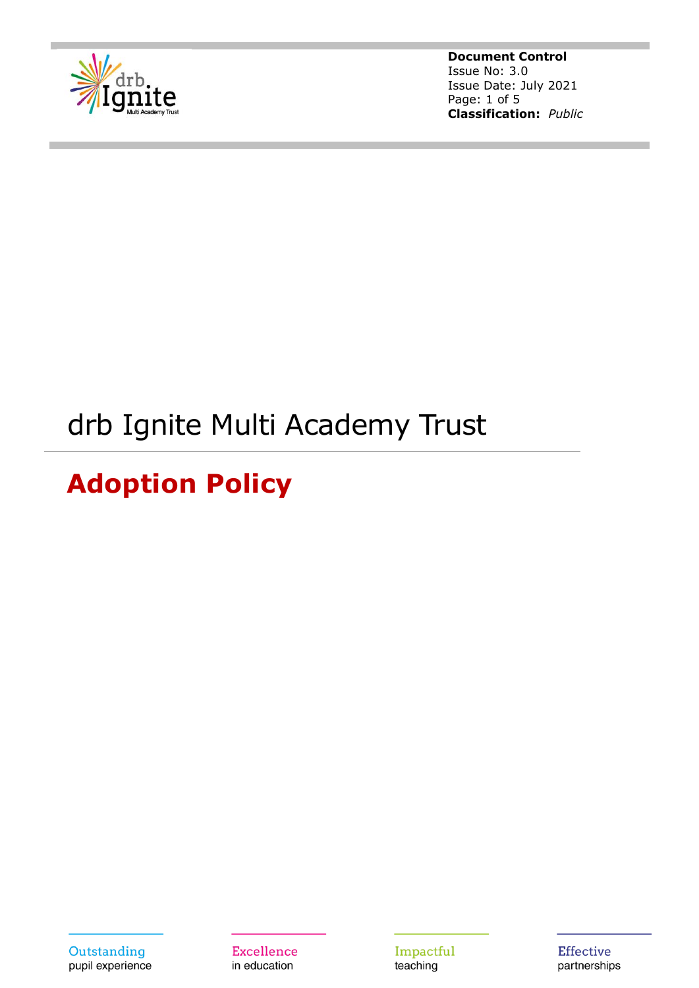

**Document Control** Issue No: 3.0 Issue Date: July 2021 Page: 1 of 5 **Classification:** *Public*

# drb Ignite Multi Academy Trust

# **Adoption Policy**

Outstanding pupil experience **Excellence** in education

Impactful teaching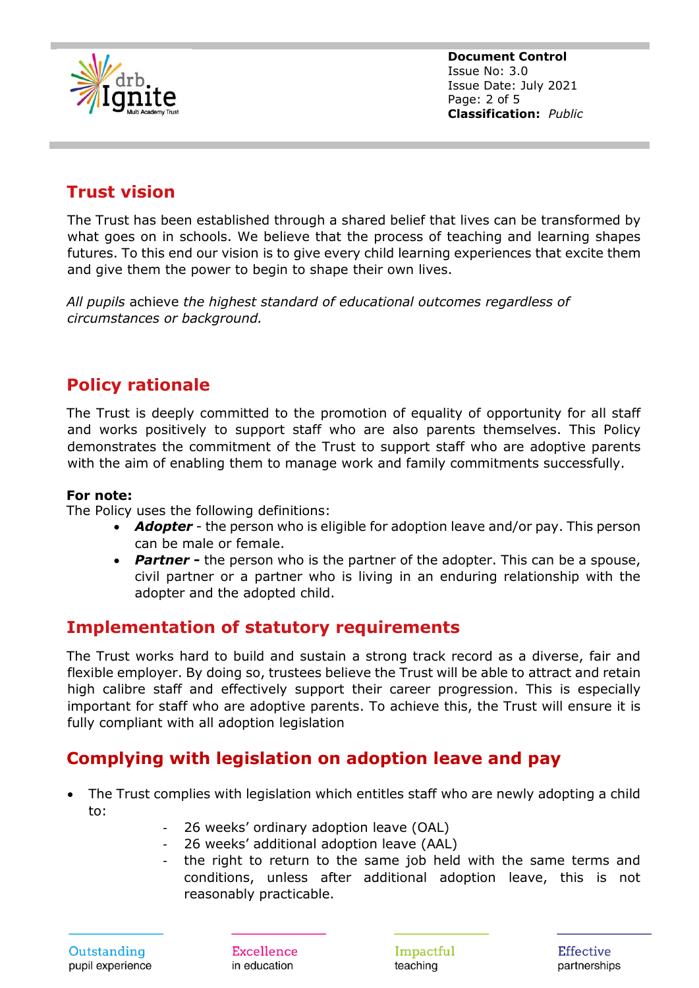

**Document Control** Issue No: 3.0 Issue Date: July 2021 Page: 2 of 5 **Classification:** *Public*

# **Trust vision**

The Trust has been established through a shared belief that lives can be transformed by what goes on in schools. We believe that the process of teaching and learning shapes futures. To this end our vision is to give every child learning experiences that excite them and give them the power to begin to shape their own lives.

*All pupils* achieve *the highest standard of educational outcomes regardless of circumstances or background.*

## **Policy rationale**

The Trust is deeply committed to the promotion of equality of opportunity for all staff and works positively to support staff who are also parents themselves. This Policy demonstrates the commitment of the Trust to support staff who are adoptive parents with the aim of enabling them to manage work and family commitments successfully.

#### **For note:**

The Policy uses the following definitions:

- *Adopter* the person who is eligible for adoption leave and/or pay. This person can be male or female.
- **Partner** the person who is the partner of the adopter. This can be a spouse, civil partner or a partner who is living in an enduring relationship with the adopter and the adopted child.

### **Implementation of statutory requirements**

The Trust works hard to build and sustain a strong track record as a diverse, fair and flexible employer. By doing so, trustees believe the Trust will be able to attract and retain high calibre staff and effectively support their career progression. This is especially important for staff who are adoptive parents. To achieve this, the Trust will ensure it is fully compliant with all adoption legislation

## **Complying with legislation on adoption leave and pay**

- The Trust complies with legislation which entitles staff who are newly adopting a child to:
	- 26 weeks' ordinary adoption leave (OAL)
	- 26 weeks' additional adoption leave (AAL)
	- the right to return to the same job held with the same terms and conditions, unless after additional adoption leave, this is not reasonably practicable.

**Excellence** in education

Impactful teaching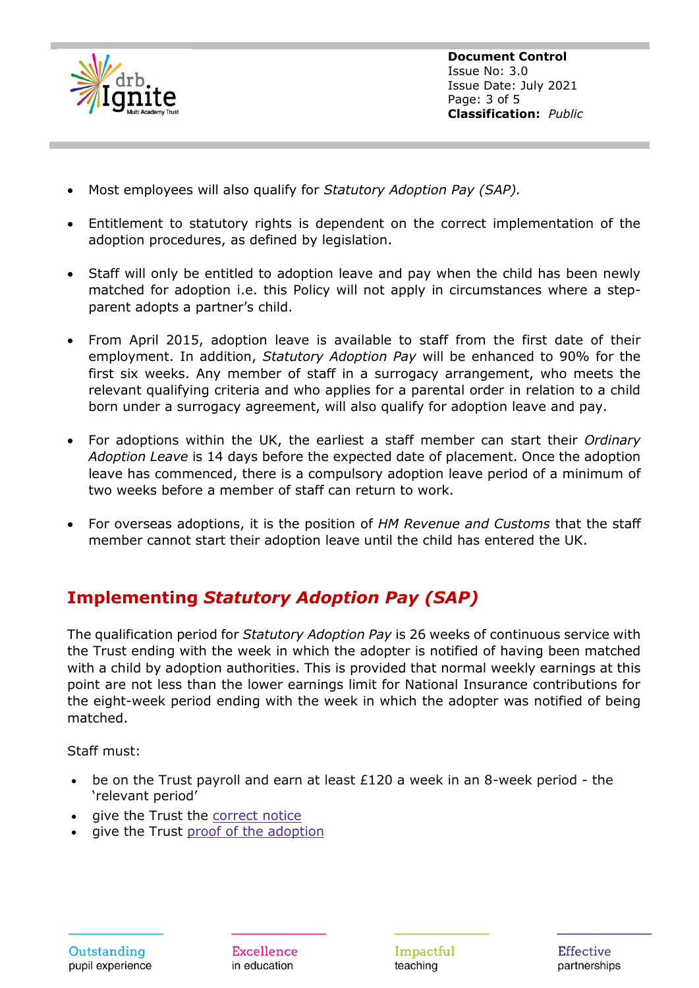

**Document Control** Issue No: 3.0 Issue Date: July 2021 Page: 3 of 5 **Classification:** *Public*

- Most employees will also qualify for *Statutory Adoption Pay (SAP).*
- Entitlement to statutory rights is dependent on the correct implementation of the adoption procedures, as defined by legislation.
- Staff will only be entitled to adoption leave and pay when the child has been newly matched for adoption i.e. this Policy will not apply in circumstances where a stepparent adopts a partner's child.
- From April 2015, adoption leave is available to staff from the first date of their employment. In addition, *Statutory Adoption Pay* will be enhanced to 90% for the first six weeks. Any member of staff in a surrogacy arrangement, who meets the relevant qualifying criteria and who applies for a parental order in relation to a child born under a surrogacy agreement, will also qualify for adoption leave and pay.
- For adoptions within the UK, the earliest a staff member can start their *Ordinary Adoption Leave* is 14 days before the expected date of placement. Once the adoption leave has commenced, there is a compulsory adoption leave period of a minimum of two weeks before a member of staff can return to work.
- For overseas adoptions, it is the position of *HM Revenue and Customs* that the staff member cannot start their adoption leave until the child has entered the UK.

# **Implementing** *Statutory Adoption Pay (SAP)*

The qualification period for *Statutory Adoption Pay* is 26 weeks of continuous service with the Trust ending with the week in which the adopter is notified of having been matched with a child by adoption authorities. This is provided that normal weekly earnings at this point are not less than the lower earnings limit for National Insurance contributions for the eight-week period ending with the week in which the adopter was notified of being matched.

Staff must:

- be on the Trust payroll and earn at least  $£120$  a week in an 8-week period the 'relevant period'
- give the Trust the [correct](https://www.gov.uk/adoption-leave-pay-employees/notice-period) notice
- give the Trust proof of the [adoption](https://www.gov.uk/employers-adoption-pay-leave/proof-of-adoption)

**Excellence** in education

Impactful teaching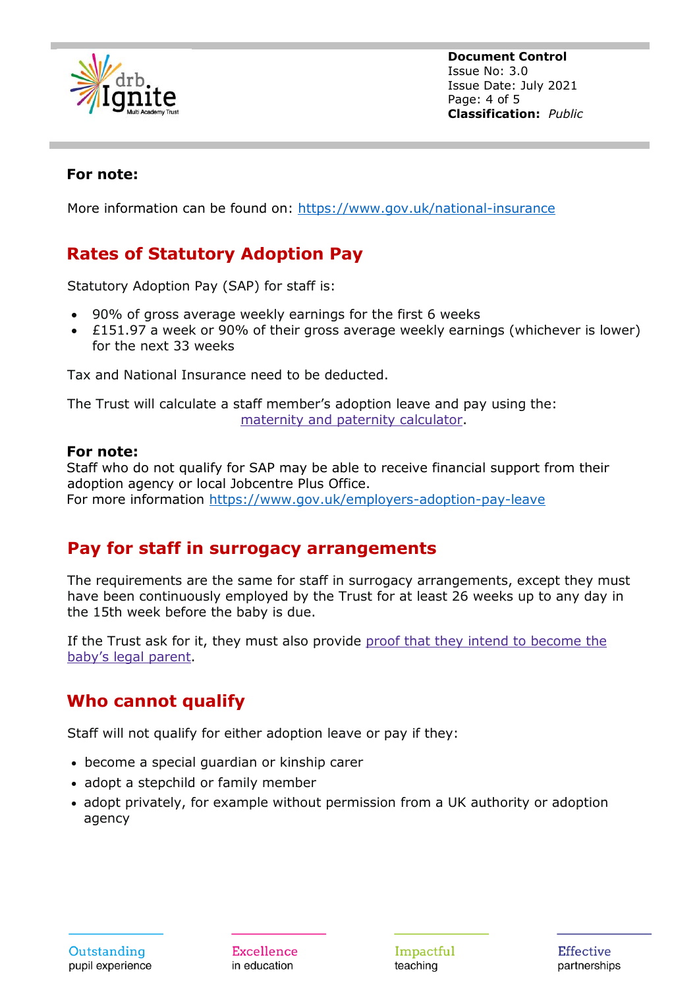

**Document Control** Issue No: 3.0 Issue Date: July 2021 Page: 4 of 5 **Classification:** *Public*

#### **For note:**

More information can be found on: <https://www.gov.uk/national-insurance>

# **Rates of Statutory Adoption Pay**

Statutory Adoption Pay (SAP) for staff is:

- 90% of gross average weekly earnings for the first 6 weeks
- £151.97 a week or 90% of their gross average weekly earnings (whichever is lower) for the next 33 weeks

Tax and National Insurance need to be deducted.

The Trust will calculate a staff member's adoption leave and pay using the: maternity and paternity [calculator.](https://www.gov.uk/maternity-paternity-calculator)

#### **For note:**

Staff who do not qualify for SAP may be able to receive financial support from their adoption agency or local Jobcentre Plus Office. For more information<https://www.gov.uk/employers-adoption-pay-leave>

## **Pay for staff in surrogacy arrangements**

The requirements are the same for staff in surrogacy arrangements, except they must have been continuously employed by the Trust for at least 26 weeks up to any day in the 15th week before the baby is due.

If the Trust ask for it, they must also provide proof that they intend to [become](https://www.gov.uk/employers-adoption-pay-leave/proof-of-adoption) the baby's legal [parent.](https://www.gov.uk/employers-adoption-pay-leave/proof-of-adoption)

## **Who cannot qualify**

Staff will not qualify for either adoption leave or pay if they:

- become a special guardian or kinship carer
- adopt a stepchild or family member
- adopt privately, for example without permission from a UK authority or adoption agency

**Excellence** in education

Impactful teaching